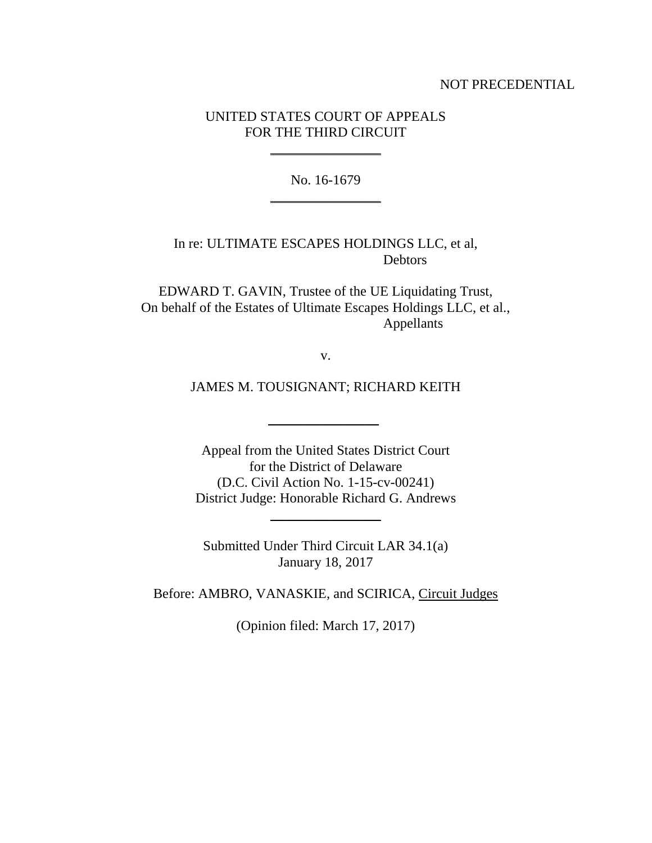## NOT PRECEDENTIAL

# UNITED STATES COURT OF APPEALS FOR THE THIRD CIRCUIT

 $\frac{1}{2}$ 

No. 16-1679  $\overline{\phantom{a}}$ 

In re: ULTIMATE ESCAPES HOLDINGS LLC, et al, Debtors

EDWARD T. GAVIN, Trustee of the UE Liquidating Trust, On behalf of the Estates of Ultimate Escapes Holdings LLC, et al., Appellants

v.

JAMES M. TOUSIGNANT; RICHARD KEITH

 $\frac{1}{2}$ 

Appeal from the United States District Court for the District of Delaware (D.C. Civil Action No. 1-15-cv-00241) District Judge: Honorable Richard G. Andrews

 $\frac{1}{2}$ 

Submitted Under Third Circuit LAR 34.1(a) January 18, 2017

Before: AMBRO, VANASKIE, and SCIRICA, Circuit Judges

(Opinion filed: March 17, 2017)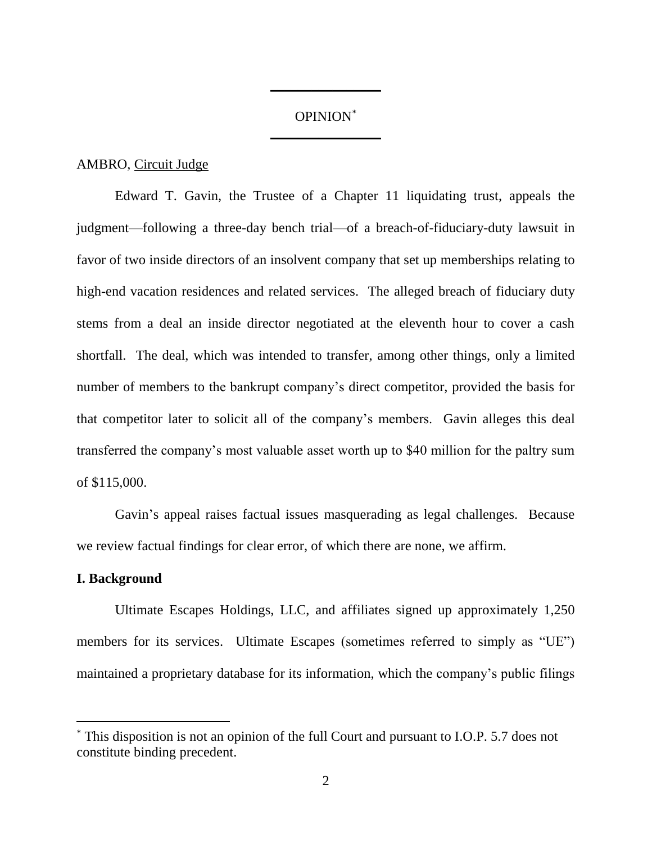# OPINION\* \_\_\_\_\_\_\_\_\_\_\_\_\_\_\_\_

 $\overline{\phantom{a}}$ 

# AMBRO, Circuit Judge

Edward T. Gavin, the Trustee of a Chapter 11 liquidating trust, appeals the judgment—following a three-day bench trial—of a breach-of-fiduciary-duty lawsuit in favor of two inside directors of an insolvent company that set up memberships relating to high-end vacation residences and related services. The alleged breach of fiduciary duty stems from a deal an inside director negotiated at the eleventh hour to cover a cash shortfall. The deal, which was intended to transfer, among other things, only a limited number of members to the bankrupt company's direct competitor, provided the basis for that competitor later to solicit all of the company's members. Gavin alleges this deal transferred the company's most valuable asset worth up to \$40 million for the paltry sum of \$115,000.

Gavin's appeal raises factual issues masquerading as legal challenges. Because we review factual findings for clear error, of which there are none, we affirm.

#### **I. Background**

 $\overline{a}$ 

Ultimate Escapes Holdings, LLC, and affiliates signed up approximately 1,250 members for its services. Ultimate Escapes (sometimes referred to simply as "UE") maintained a proprietary database for its information, which the company's public filings

<sup>\*</sup> This disposition is not an opinion of the full Court and pursuant to I.O.P. 5.7 does not constitute binding precedent.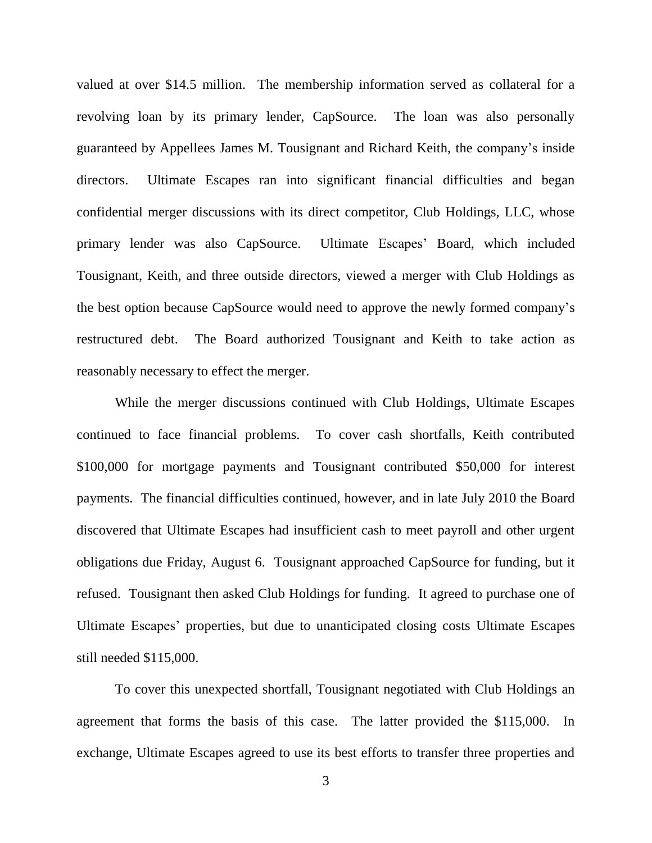valued at over \$14.5 million. The membership information served as collateral for a revolving loan by its primary lender, CapSource. The loan was also personally guaranteed by Appellees James M. Tousignant and Richard Keith, the company's inside directors. Ultimate Escapes ran into significant financial difficulties and began confidential merger discussions with its direct competitor, Club Holdings, LLC, whose primary lender was also CapSource. Ultimate Escapes' Board, which included Tousignant, Keith, and three outside directors, viewed a merger with Club Holdings as the best option because CapSource would need to approve the newly formed company's restructured debt. The Board authorized Tousignant and Keith to take action as reasonably necessary to effect the merger.

While the merger discussions continued with Club Holdings, Ultimate Escapes continued to face financial problems. To cover cash shortfalls, Keith contributed \$100,000 for mortgage payments and Tousignant contributed \$50,000 for interest payments. The financial difficulties continued, however, and in late July 2010 the Board discovered that Ultimate Escapes had insufficient cash to meet payroll and other urgent obligations due Friday, August 6. Tousignant approached CapSource for funding, but it refused. Tousignant then asked Club Holdings for funding. It agreed to purchase one of Ultimate Escapes' properties, but due to unanticipated closing costs Ultimate Escapes still needed \$115,000.

To cover this unexpected shortfall, Tousignant negotiated with Club Holdings an agreement that forms the basis of this case. The latter provided the \$115,000. In exchange, Ultimate Escapes agreed to use its best efforts to transfer three properties and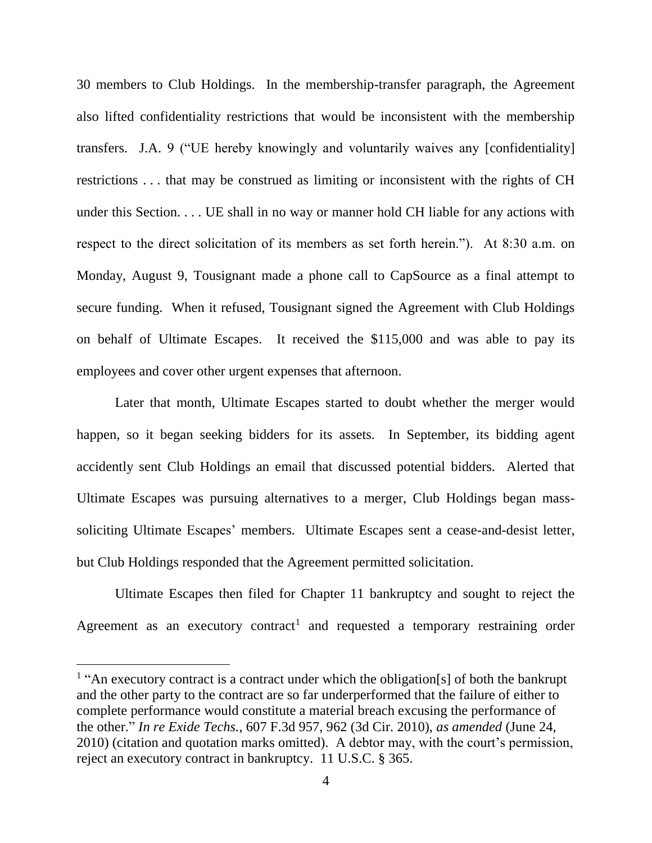30 members to Club Holdings. In the membership-transfer paragraph, the Agreement also lifted confidentiality restrictions that would be inconsistent with the membership transfers. J.A. 9 ("UE hereby knowingly and voluntarily waives any [confidentiality] restrictions . . . that may be construed as limiting or inconsistent with the rights of CH under this Section. . . . UE shall in no way or manner hold CH liable for any actions with respect to the direct solicitation of its members as set forth herein."). At 8:30 a.m. on Monday, August 9, Tousignant made a phone call to CapSource as a final attempt to secure funding. When it refused, Tousignant signed the Agreement with Club Holdings on behalf of Ultimate Escapes. It received the \$115,000 and was able to pay its employees and cover other urgent expenses that afternoon.

Later that month, Ultimate Escapes started to doubt whether the merger would happen, so it began seeking bidders for its assets. In September, its bidding agent accidently sent Club Holdings an email that discussed potential bidders. Alerted that Ultimate Escapes was pursuing alternatives to a merger, Club Holdings began masssoliciting Ultimate Escapes' members. Ultimate Escapes sent a cease-and-desist letter, but Club Holdings responded that the Agreement permitted solicitation.

Ultimate Escapes then filed for Chapter 11 bankruptcy and sought to reject the Agreement as an executory contract<sup>1</sup> and requested a temporary restraining order

<sup>&</sup>lt;sup>1</sup> "An executory contract is a contract under which the obligation[s] of both the bankrupt and the other party to the contract are so far underperformed that the failure of either to complete performance would constitute a material breach excusing the performance of the other." *In re Exide Techs.*, 607 F.3d 957, 962 (3d Cir. 2010), *as amended* (June 24, 2010) (citation and quotation marks omitted). A debtor may, with the court's permission, reject an executory contract in bankruptcy. 11 U.S.C. § 365.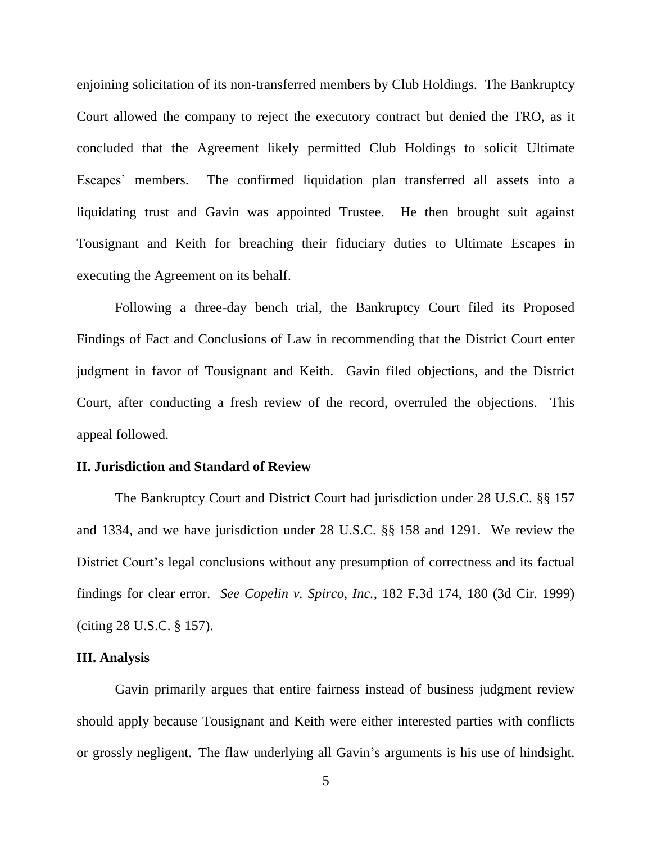enjoining solicitation of its non-transferred members by Club Holdings. The Bankruptcy Court allowed the company to reject the executory contract but denied the TRO, as it concluded that the Agreement likely permitted Club Holdings to solicit Ultimate Escapes' members. The confirmed liquidation plan transferred all assets into a liquidating trust and Gavin was appointed Trustee. He then brought suit against Tousignant and Keith for breaching their fiduciary duties to Ultimate Escapes in executing the Agreement on its behalf.

Following a three-day bench trial, the Bankruptcy Court filed its Proposed Findings of Fact and Conclusions of Law in recommending that the District Court enter judgment in favor of Tousignant and Keith. Gavin filed objections, and the District Court, after conducting a fresh review of the record, overruled the objections. This appeal followed.

## **II. Jurisdiction and Standard of Review**

The Bankruptcy Court and District Court had jurisdiction under 28 U.S.C. §§ 157 and 1334, and we have jurisdiction under 28 U.S.C. §§ 158 and 1291. We review the District Court's legal conclusions without any presumption of correctness and its factual findings for clear error. *See Copelin v. Spirco, Inc.*, 182 F.3d 174, 180 (3d Cir. 1999) (citing 28 U.S.C. § 157).

# **III. Analysis**

Gavin primarily argues that entire fairness instead of business judgment review should apply because Tousignant and Keith were either interested parties with conflicts or grossly negligent.The flaw underlying all Gavin's arguments is his use of hindsight.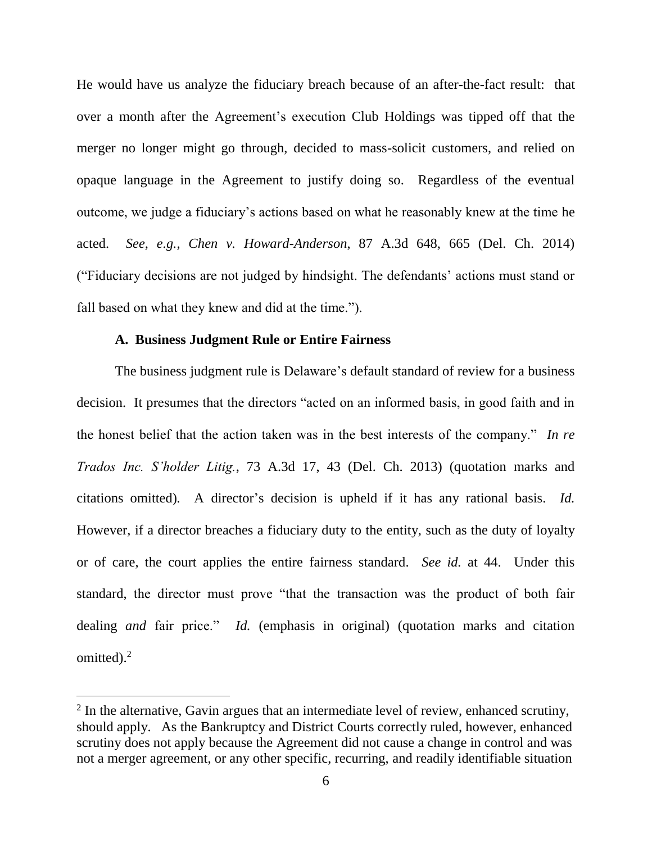He would have us analyze the fiduciary breach because of an after-the-fact result: that over a month after the Agreement's execution Club Holdings was tipped off that the merger no longer might go through, decided to mass-solicit customers, and relied on opaque language in the Agreement to justify doing so. Regardless of the eventual outcome, we judge a fiduciary's actions based on what he reasonably knew at the time he acted. *See, e.g., Chen v. Howard-Anderson*, 87 A.3d 648, 665 (Del. Ch. 2014) ("Fiduciary decisions are not judged by hindsight. The defendants' actions must stand or fall based on what they knew and did at the time.").

## **A. Business Judgment Rule or Entire Fairness**

The business judgment rule is Delaware's default standard of review for a business decision. It presumes that the directors "acted on an informed basis, in good faith and in the honest belief that the action taken was in the best interests of the company." *In re Trados Inc. S'holder Litig.*, 73 A.3d 17, 43 (Del. Ch. 2013) (quotation marks and citations omitted)*.* A director's decision is upheld if it has any rational basis. *Id.* However, if a director breaches a fiduciary duty to the entity, such as the duty of loyalty or of care, the court applies the entire fairness standard. *See id.* at 44. Under this standard, the director must prove "that the transaction was the product of both fair dealing *and* fair price." *Id.* (emphasis in original) (quotation marks and citation omitted). $<sup>2</sup>$ </sup>

 $2$  In the alternative, Gavin argues that an intermediate level of review, enhanced scrutiny, should apply. As the Bankruptcy and District Courts correctly ruled, however, enhanced scrutiny does not apply because the Agreement did not cause a change in control and was not a merger agreement, or any other specific, recurring, and readily identifiable situation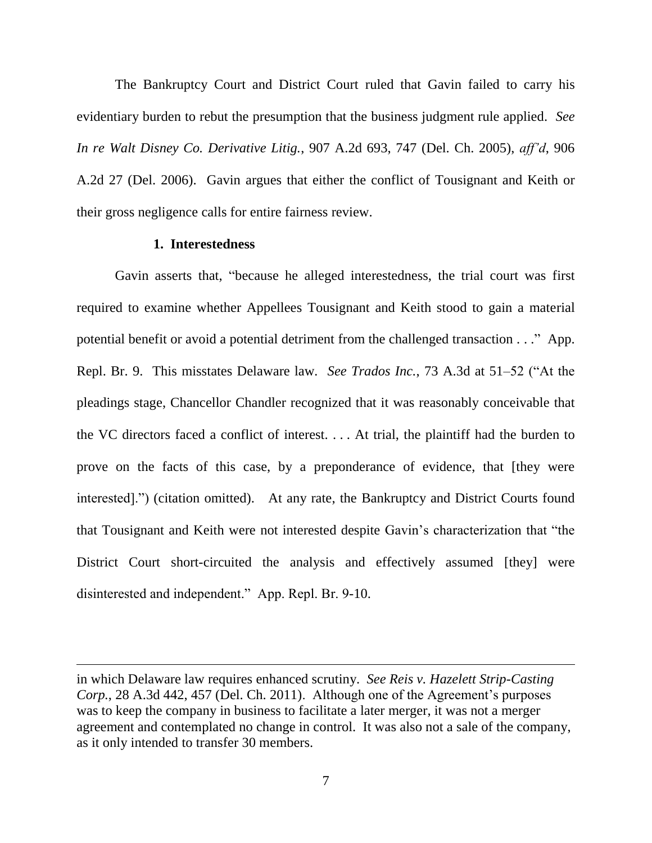The Bankruptcy Court and District Court ruled that Gavin failed to carry his evidentiary burden to rebut the presumption that the business judgment rule applied. *See In re Walt Disney Co. Derivative Litig.*, 907 A.2d 693, 747 (Del. Ch. 2005), *aff'd*, 906 A.2d 27 (Del. 2006). Gavin argues that either the conflict of Tousignant and Keith or their gross negligence calls for entire fairness review.

### **1. Interestedness**

Gavin asserts that, "because he alleged interestedness, the trial court was first required to examine whether Appellees Tousignant and Keith stood to gain a material potential benefit or avoid a potential detriment from the challenged transaction . . ." App. Repl. Br. 9. This misstates Delaware law*. See Trados Inc.*, 73 A.3d at 51–52 ("At the pleadings stage, Chancellor Chandler recognized that it was reasonably conceivable that the VC directors faced a conflict of interest. . . . At trial, the plaintiff had the burden to prove on the facts of this case, by a preponderance of evidence, that [they were interested].") (citation omitted). At any rate, the Bankruptcy and District Courts found that Tousignant and Keith were not interested despite Gavin's characterization that "the District Court short-circuited the analysis and effectively assumed [they] were disinterested and independent." App. Repl. Br. 9-10.

in which Delaware law requires enhanced scrutiny. *See Reis v. Hazelett Strip-Casting Corp.*, 28 A.3d 442, 457 (Del. Ch. 2011). Although one of the Agreement's purposes was to keep the company in business to facilitate a later merger, it was not a merger agreement and contemplated no change in control. It was also not a sale of the company, as it only intended to transfer 30 members.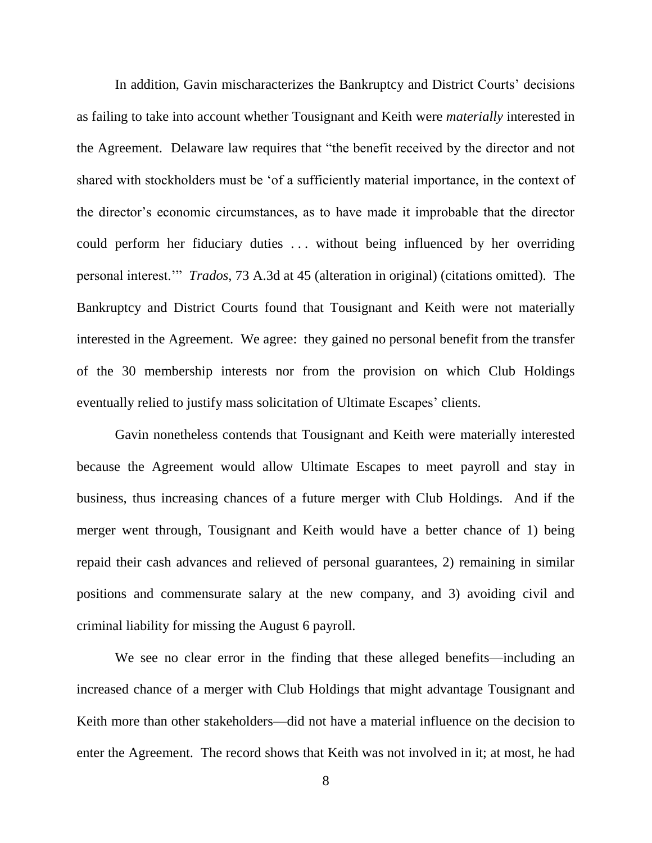In addition, Gavin mischaracterizes the Bankruptcy and District Courts' decisions as failing to take into account whether Tousignant and Keith were *materially* interested in the Agreement. Delaware law requires that "the benefit received by the director and not shared with stockholders must be 'of a sufficiently material importance, in the context of the director's economic circumstances, as to have made it improbable that the director could perform her fiduciary duties . . . without being influenced by her overriding personal interest.'" *Trados*, 73 A.3d at 45 (alteration in original) (citations omitted). The Bankruptcy and District Courts found that Tousignant and Keith were not materially interested in the Agreement. We agree: they gained no personal benefit from the transfer of the 30 membership interests nor from the provision on which Club Holdings eventually relied to justify mass solicitation of Ultimate Escapes' clients.

Gavin nonetheless contends that Tousignant and Keith were materially interested because the Agreement would allow Ultimate Escapes to meet payroll and stay in business, thus increasing chances of a future merger with Club Holdings. And if the merger went through, Tousignant and Keith would have a better chance of 1) being repaid their cash advances and relieved of personal guarantees, 2) remaining in similar positions and commensurate salary at the new company, and 3) avoiding civil and criminal liability for missing the August 6 payroll.

We see no clear error in the finding that these alleged benefits—including an increased chance of a merger with Club Holdings that might advantage Tousignant and Keith more than other stakeholders—did not have a material influence on the decision to enter the Agreement. The record shows that Keith was not involved in it; at most, he had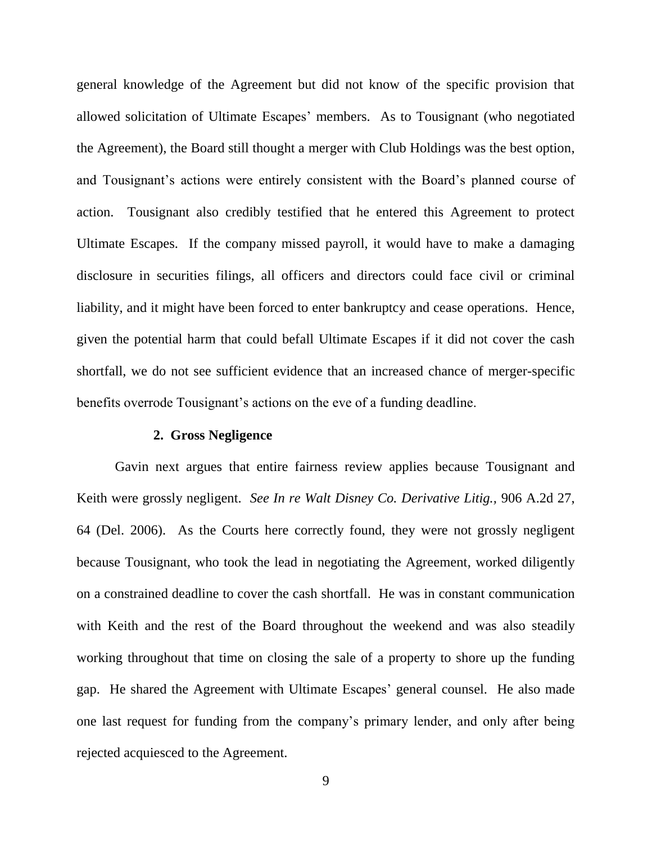general knowledge of the Agreement but did not know of the specific provision that allowed solicitation of Ultimate Escapes' members. As to Tousignant (who negotiated the Agreement), the Board still thought a merger with Club Holdings was the best option, and Tousignant's actions were entirely consistent with the Board's planned course of action. Tousignant also credibly testified that he entered this Agreement to protect Ultimate Escapes. If the company missed payroll, it would have to make a damaging disclosure in securities filings, all officers and directors could face civil or criminal liability, and it might have been forced to enter bankruptcy and cease operations. Hence, given the potential harm that could befall Ultimate Escapes if it did not cover the cash shortfall, we do not see sufficient evidence that an increased chance of merger-specific benefits overrode Tousignant's actions on the eve of a funding deadline.

# **2. Gross Negligence**

Gavin next argues that entire fairness review applies because Tousignant and Keith were grossly negligent. *See In re Walt Disney Co. Derivative Litig.,* 906 A.2d 27, 64 (Del. 2006). As the Courts here correctly found, they were not grossly negligent because Tousignant, who took the lead in negotiating the Agreement, worked diligently on a constrained deadline to cover the cash shortfall. He was in constant communication with Keith and the rest of the Board throughout the weekend and was also steadily working throughout that time on closing the sale of a property to shore up the funding gap. He shared the Agreement with Ultimate Escapes' general counsel. He also made one last request for funding from the company's primary lender, and only after being rejected acquiesced to the Agreement.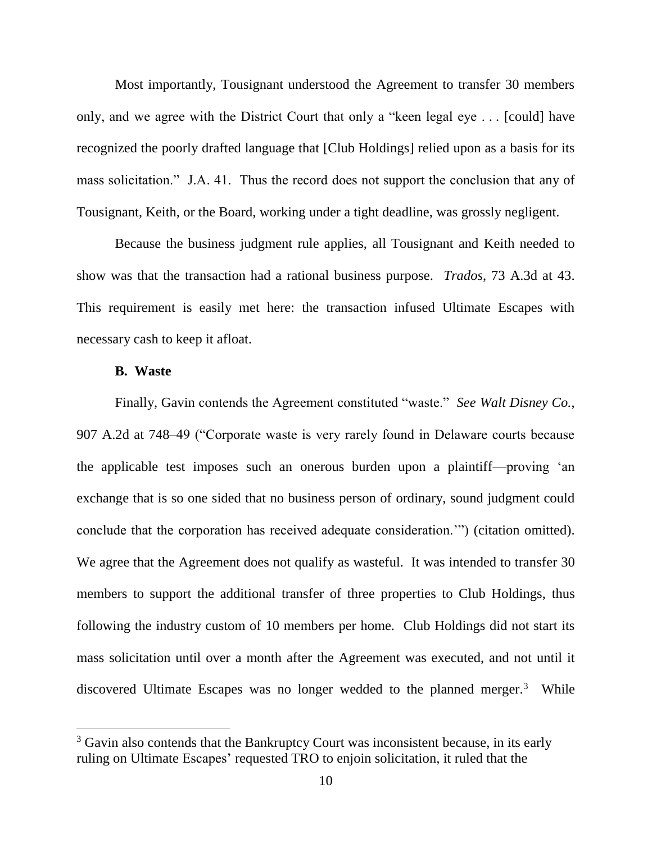Most importantly, Tousignant understood the Agreement to transfer 30 members only, and we agree with the District Court that only a "keen legal eye . . . [could] have recognized the poorly drafted language that [Club Holdings] relied upon as a basis for its mass solicitation." J.A. 41. Thus the record does not support the conclusion that any of Tousignant, Keith, or the Board, working under a tight deadline, was grossly negligent.

Because the business judgment rule applies, all Tousignant and Keith needed to show was that the transaction had a rational business purpose. *Trados*, 73 A.3d at 43. This requirement is easily met here: the transaction infused Ultimate Escapes with necessary cash to keep it afloat.

### **B. Waste**

 $\overline{a}$ 

Finally, Gavin contends the Agreement constituted "waste." *See Walt Disney Co.*, 907 A.2d at 748–49 ("Corporate waste is very rarely found in Delaware courts because the applicable test imposes such an onerous burden upon a plaintiff—proving 'an exchange that is so one sided that no business person of ordinary, sound judgment could conclude that the corporation has received adequate consideration.'") (citation omitted). We agree that the Agreement does not qualify as wasteful. It was intended to transfer 30 members to support the additional transfer of three properties to Club Holdings, thus following the industry custom of 10 members per home. Club Holdings did not start its mass solicitation until over a month after the Agreement was executed, and not until it discovered Ultimate Escapes was no longer wedded to the planned merger. $3$  While

 $3$  Gavin also contends that the Bankruptcy Court was inconsistent because, in its early ruling on Ultimate Escapes' requested TRO to enjoin solicitation, it ruled that the